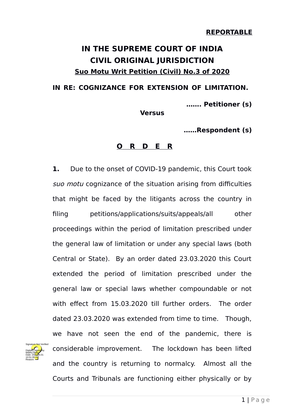## **IN THE SUPREME COURT OF INDIA CIVIL ORIGINAL JURISDICTION Suo Motu Writ Petition (Civil) No.3 of 2020**

**IN RE: COGNIZANCE FOR EXTENSION OF LIMITATION.** 

**……. Petitioner (s)**

**Versus**

**……Respondent (s)**

## **O R D E R**

**1.** Due to the onset of COVID-19 pandemic, this Court took suo motu cognizance of the situation arising from difficulties that might be faced by the litigants across the country in filing petitions/applications/suits/appeals/all other proceedings within the period of limitation prescribed under the general law of limitation or under any special laws (both Central or State). By an order dated 23.03.2020 this Court extended the period of limitation prescribed under the general law or special laws whether compoundable or not with effect from 15.03.2020 till further orders. The order dated 23.03.2020 was extended from time to time. Though, we have not seen the end of the pandemic, there is considerable improvement. The lockdown has been lifted and the country is returning to normalcy. Almost all the Courts and Tribunals are functioning either physically or by

Digitally signed by Madhu Bala Date: 2024-05.01 10:51:39 IST Reason:

Signature Not Verified

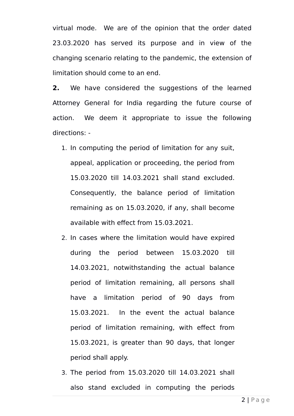virtual mode. We are of the opinion that the order dated 23.03.2020 has served its purpose and in view of the changing scenario relating to the pandemic, the extension of limitation should come to an end.

**2.** We have considered the suggestions of the learned Attorney General for India regarding the future course of action. We deem it appropriate to issue the following directions: -

- 1. In computing the period of limitation for any suit, appeal, application or proceeding, the period from 15.03.2020 till 14.03.2021 shall stand excluded. Consequently, the balance period of limitation remaining as on 15.03.2020, if any, shall become available with effect from 15.03.2021.
- 2. In cases where the limitation would have expired during the period between 15.03.2020 till 14.03.2021, notwithstanding the actual balance period of limitation remaining, all persons shall have a limitation period of 90 days from 15.03.2021. In the event the actual balance period of limitation remaining, with effect from 15.03.2021, is greater than 90 days, that longer period shall apply.
- 3. The period from 15.03.2020 till 14.03.2021 shall also stand excluded in computing the periods